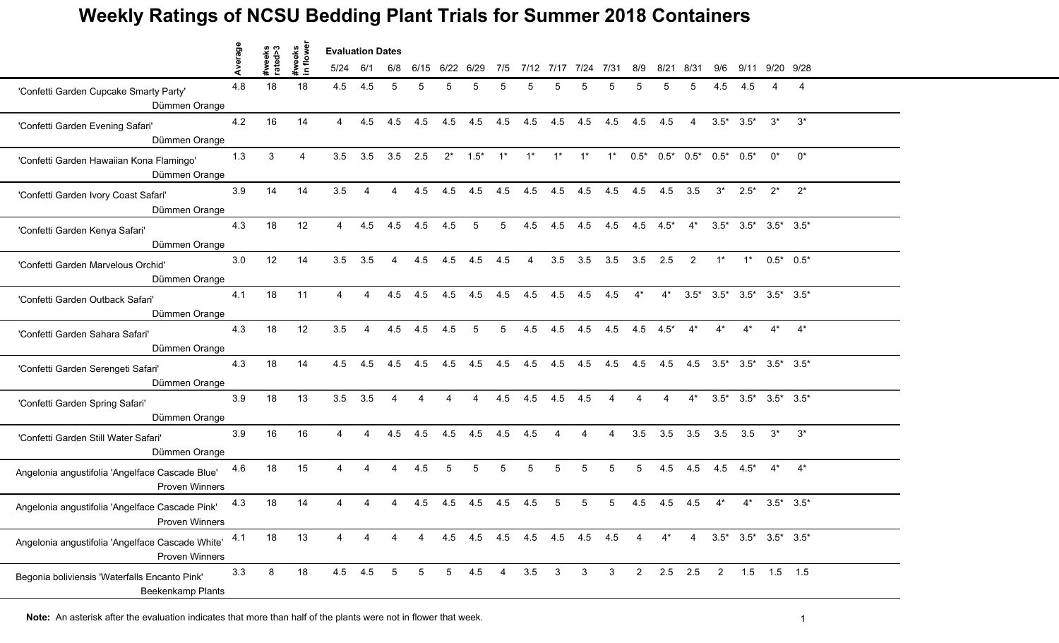|                                                                           | Average |                   | weeks<br>1 flower | <b>Evaluation Dates</b> |                |                 |                |                |                |     |                |                |                             |                 |                 |                                         |                |                     |                                       |                                                 |       |  |
|---------------------------------------------------------------------------|---------|-------------------|-------------------|-------------------------|----------------|-----------------|----------------|----------------|----------------|-----|----------------|----------------|-----------------------------|-----------------|-----------------|-----------------------------------------|----------------|---------------------|---------------------------------------|-------------------------------------------------|-------|--|
|                                                                           |         | #weeks<br>rated>3 | $\blacksquare$    | 5/24                    | 6/1            | 6/8             | 6/15           | 6/22           | 6/29           | 7/5 |                | 7/12 7/17      | 7/24                        | 7/31            | 8/9             | 8/21                                    | 8/31           | 9/6                 | 9/11                                  | 9/20 9/28                                       |       |  |
| 'Confetti Garden Cupcake Smarty Party'<br>Dümmen Orange                   | 4.8     | 18                | 18                | 4.5                     | 4.5            | 5               |                |                |                | 5   |                |                |                             |                 |                 |                                         | 5              | 4.5                 | 4.5                                   |                                                 | 4     |  |
| 'Confetti Garden Evening Safari'<br>Dümmen Orange                         | 4.2     | 16                | 14                | $\overline{4}$          | 4.5            | 4.5             | 4.5            | 4.5            | 4.5            |     | 4.5 4.5        |                | 4.5 4.5 4.5 4.5 4.5         |                 |                 |                                         | $\overline{4}$ |                     | $3.5^*$ $3.5^*$                       | $3^*$                                           | $3^*$ |  |
| 'Confetti Garden Hawaiian Kona Flamingo'<br>Dümmen Orange                 | 1.3     | 3                 | $\overline{4}$    | 3.5                     | 3.5            | $3.5$ 2.5       |                | $2^*$          | $1.5^*$ 1*     |     | $1^*$          | $1^*$          | $1^*$                       | $1^*$           |                 | $0.5^*$ $0.5^*$ $0.5^*$ $0.5^*$ $0.5^*$ |                |                     |                                       | $0^*$                                           | $0^*$ |  |
| 'Confetti Garden Ivory Coast Safari'<br>Dümmen Orange                     | 3.9     | 14                | 14                | 3.5                     | 4              | $\overline{4}$  | 4.5            | 4.5            | 4.5            |     | $4.5$ $4.5$    |                | 4.5 4.5 4.5 4.5 4.5 3.5     |                 |                 |                                         |                |                     | $3^*$ 2.5 <sup>*</sup> 2 <sup>*</sup> |                                                 | $2^*$ |  |
| 'Confetti Garden Kenya Safari'<br>Dümmen Orange                           | 4.3     | 18                | 12                | 4                       | 4.5            | 4.5             | 4.5            | 4.5            | 5              | 5   | 4.5            | 4.5            | 4.5                         | 4.5             | 4.5             | $4.5*$                                  | $4^*$          |                     |                                       | $3.5^*$ $3.5^*$ $3.5^*$ $3.5^*$                 |       |  |
| 'Confetti Garden Marvelous Orchid'<br>Dümmen Orange                       | 3.0     | 12                | 14                | 3.5                     | 3.5            | $\overline{4}$  | 4.5            | 4.5            | 4.5            | 4.5 | $\overline{4}$ | 3.5            | 3.5                         | 3.5             | 3.5             | 2.5                                     | 2              | $1^*$               | $1^*$                                 | $0.5^*$ 0.5*                                    |       |  |
| 'Confetti Garden Outback Safari'<br>Dümmen Orange                         | 4.1     | 18                | 11                | $\overline{4}$          | $\overline{4}$ | 4.5             | 4.5            | 4.5            | 4.5            | 4.5 | 4.5            | 4.5            | 4.5 4.5                     |                 | $4^*$           | $4^*$                                   |                |                     |                                       | $3.5^*$ $3.5^*$ $3.5^*$ $3.5^*$ $3.5^*$ $3.5^*$ |       |  |
| 'Confetti Garden Sahara Safari'<br>Dümmen Orange                          | 4.3     | 18                | 12                | 3.5                     | $\overline{A}$ | 4.5             | 4.5            | 4.5            | 5              | 5   | 4.5            | 4.5            | 4.5                         | 4.5             | $4.5$ $4.5^*$   |                                         | $4^*$          | $4^*$               | $4^*$                                 | $4^*$                                           | $4^*$ |  |
| 'Confetti Garden Serengeti Safari'<br>Dümmen Orange                       | 4.3     | 18                | 14                | 4.5                     | 4.5            | 4.5             | 4.5            | 4.5            | 4.5            | 4.5 | 4.5            | 4.5            | 4.5                         | 4.5             | 4.5             | 4.5                                     |                |                     |                                       | 4.5 3.5* 3.5* 3.5* 3.5*                         |       |  |
| 'Confetti Garden Spring Safari'<br>Dümmen Orange                          | 3.9     | 18                | 13                | $3.5$ $3.5$             |                | 4               | $\overline{A}$ | $\overline{4}$ | $\overline{4}$ | 4.5 | 4.5            | 4.5            | 4.5                         | $\overline{A}$  | $\overline{A}$  | $\overline{A}$                          | $4^*$          |                     |                                       | $3.5^*$ $3.5^*$ $3.5^*$ $3.5^*$                 |       |  |
| 'Confetti Garden Still Water Safari'<br>Dümmen Orange                     | 3.9     | 16                | 16                | $\overline{4}$          | 4              | 4.5             | 4.5            | 4.5            | 4.5 4.5 4.5    |     |                | $\overline{4}$ | $\overline{4}$              | $\overline{4}$  | 3.5             | 3.5                                     |                | $3.5$ $3.5$ $3.5$   |                                       | $3^*$                                           | $3^*$ |  |
| Angelonia angustifolia 'Angelface Cascade Blue'<br><b>Proven Winners</b>  | 4.6     | 18                | 15                | 4                       | $\overline{4}$ | $\overline{4}$  | 4.5            | 5              | 5              | 5   | 5              | 5              | 5                           | $5\phantom{.0}$ | $5\overline{)}$ |                                         |                | 4.5 4.5 4.5 4.5* 4* |                                       |                                                 | $4^*$ |  |
| Angelonia angustifolia 'Angelface Cascade Pink'<br>Proven Winners         | 4.3     | 18                | 14                |                         |                | 4               | 4.5            | 4.5            | 4.5            | 4.5 | 4.5            | 5              | 5                           | 5               | 4.5             | 4.5                                     | 4.5            |                     |                                       | $3.5^*$ $3.5^*$                                 |       |  |
| Angelonia angustifolia 'Angelface Cascade White'<br>Proven Winners        | 4.1     | 18                | 13                |                         |                | 4               | $\overline{4}$ |                |                |     |                |                | 4.5 4.5 4.5 4.5 4.5 4.5 4.5 |                 | 4               | $4^*$                                   | 4              |                     |                                       | $3.5^*$ $3.5^*$ $3.5^*$ $3.5^*$                 |       |  |
| Begonia boliviensis 'Waterfalls Encanto Pink'<br><b>Beekenkamp Plants</b> | 3.3     | 8                 | 18                |                         | $4.5$ $4.5$    | $5\phantom{.0}$ | 5              | 5 <sup>5</sup> | 4.5            | 4   | 3.5            | $\mathbf{3}$   | $\mathbf{3}$                | 3 <sup>3</sup>  | $2^{\circ}$     |                                         | $2.5$ 2.5      | $2^{\circ}$         |                                       | $1.5$ $1.5$ $1.5$                               |       |  |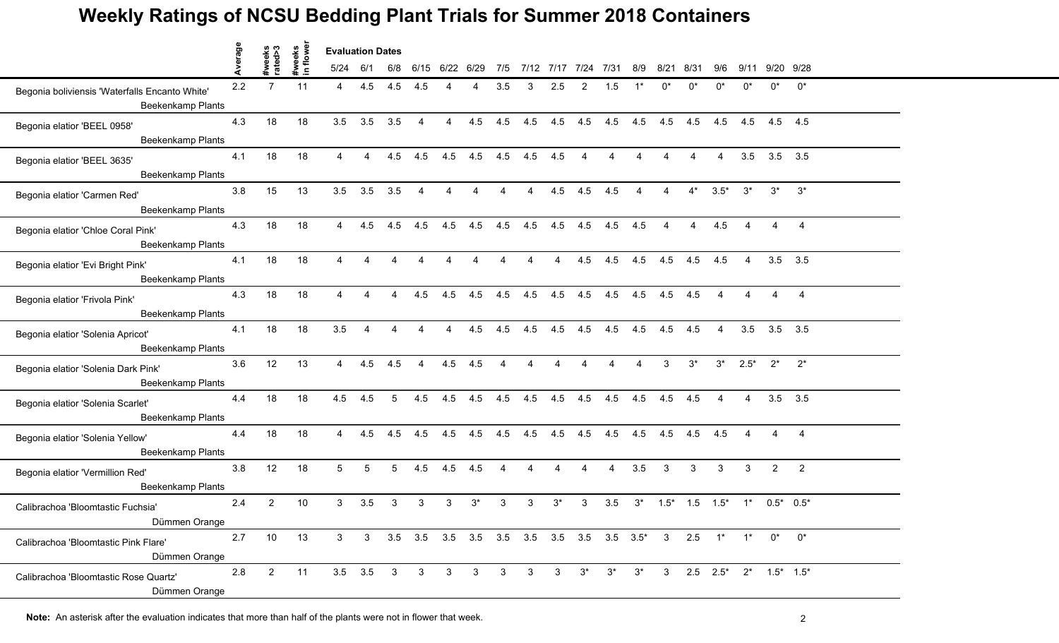|                                                                            | Average |                   |                    | <b>Evaluation Dates</b> |                        |                |                        |                |                |                |                |                |                     |                |                |                |                |                |                |                                                              |                |  |
|----------------------------------------------------------------------------|---------|-------------------|--------------------|-------------------------|------------------------|----------------|------------------------|----------------|----------------|----------------|----------------|----------------|---------------------|----------------|----------------|----------------|----------------|----------------|----------------|--------------------------------------------------------------|----------------|--|
|                                                                            |         | #weeks<br>rated>3 | #weeks<br>in flowe | 5/24                    | 6/1                    | 6/8            |                        | 6/15 6/22 6/29 |                | 7/5            |                |                | 7/12 7/17 7/24 7/31 |                | 8/9            | 8/21           | 8/31           | 9/6            |                | 9/11 9/20 9/28                                               |                |  |
| Begonia boliviensis 'Waterfalls Encanto White'<br><b>Beekenkamp Plants</b> | 2.2     | $\overline{7}$    | 11                 | 4                       | 4.5                    | 4.5            | 4.5                    |                |                | 3.5            | 3              | 2.5            | 2                   | 1.5            |                | $0^*$          | n*             | n*             | $^{\circ}$     | ሰ*                                                           | $0^*$          |  |
| Begonia elatior 'BEEL 0958'<br><b>Beekenkamp Plants</b>                    | 4.3     | 18                | 18                 | 3.5                     | 3.5                    | 3.5            | $\overline{4}$         | $\overline{4}$ | 4.5            | 4.5            | 4.5            | 4.5            | 4.5                 | 4.5            | 4.5            | 4.5            | 4.5            | 4.5            | 4.5            | 4.5 4.5                                                      |                |  |
| Begonia elatior 'BEEL 3635'<br>Beekenkamp Plants                           | 4.1     | 18                | 18                 | $\overline{4}$          | $\overline{A}$         | 4.5            | 4.5                    | 4.5            | 4.5            | 4.5 4.5        |                | 4.5            | $\overline{4}$      | $\overline{4}$ | $\overline{4}$ | $\overline{4}$ | $\overline{4}$ | $\overline{4}$ | 3.5            |                                                              | $3.5$ $3.5$    |  |
| Begonia elatior 'Carmen Red'<br>Beekenkamp Plants                          | 3.8     | 15                | 13                 | 3.5                     | 3.5                    | 3.5            | $\overline{4}$         | 4              | 4              | $\overline{4}$ | $\overline{4}$ | 4.5            | 4.5                 | 4.5            | 4              | 4              | $4^*$          | $3.5*$         | $3^*$          | $3^*$                                                        | $3^*$          |  |
| Begonia elatior 'Chloe Coral Pink'<br>Beekenkamp Plants                    | 4.3     | 18                | 18                 | 4                       | 4.5                    | 4.5            | 4.5                    | 4.5            | 4.5            | 4.5            | 4.5            | 4.5            | 4.5                 | 4.5            | 4.5            |                |                | 4.5            |                |                                                              | $\overline{4}$ |  |
| Begonia elatior 'Evi Bright Pink'<br>Beekenkamp Plants                     | 4.1     | 18                | 18                 | $\overline{4}$          | $\boldsymbol{\Lambda}$ | 4              | $\overline{4}$         | $\overline{A}$ | $\overline{4}$ | $\overline{4}$ | $\overline{4}$ | $\overline{4}$ | 4.5                 | 4.5            | 4.5            | 4.5            | 4.5            | 4.5            | $\overline{4}$ | 3.5                                                          | 3.5            |  |
| Begonia elatior 'Frivola Pink'<br>Beekenkamp Plants                        | 4.3     | 18                | 18                 | $\overline{4}$          | 4                      | $\overline{4}$ | 4.5                    | 4.5            | 4.5            | 4.5            | 4.5            | 4.5            | 4.5                 | 4.5            | 4.5            | 4.5            | 4.5            | $\overline{4}$ | $\overline{4}$ |                                                              | $\overline{4}$ |  |
| Begonia elatior 'Solenia Apricot'<br>Beekenkamp Plants                     | 4.1     | 18                | 18                 | 3.5                     | $\overline{4}$         | 4              | $\overline{4}$         | $\overline{4}$ | 4.5            | 4.5            | 4.5            | 4.5            | 4.5                 | 4.5            | 4.5            | 4.5            | 4.5            | $\overline{4}$ | 3.5            |                                                              | $3.5$ $3.5$    |  |
| Begonia elatior 'Solenia Dark Pink'<br><b>Beekenkamp Plants</b>            | 3.6     | 12                | 13                 | $\overline{4}$          | 4.5                    | 4.5            | $\boldsymbol{\Lambda}$ | 4.5            | 4.5            |                |                |                |                     |                |                | 3              | $3^*$          | $3^*$          | $2.5*$         | $2^*$                                                        | $2^*$          |  |
| Begonia elatior 'Solenia Scarlet'<br>Beekenkamp Plants                     | 4.4     | 18                | 18                 | 4.5                     | 4.5                    | 5              | 4.5                    | 4.5            | 4.5            | 4.5            | 4.5            | 4.5            | 4.5                 | 4.5            | 4.5            | 4.5            | 4.5            | $\overline{4}$ | $\overline{4}$ | 3.5                                                          | 3.5            |  |
| Begonia elatior 'Solenia Yellow'<br>Beekenkamp Plants                      | 4.4     | 18                | 18                 | $\overline{4}$          | 4.5                    | 4.5            | 4.5                    | 4.5            | 4.5            | 4.5            | 4.5            | 4.5            | 4.5                 | 4.5            | 4.5            | 4.5            |                | $4.5$ $4.5$    | $\overline{4}$ | $\overline{4}$                                               | $\overline{4}$ |  |
| Begonia elatior 'Vermillion Red'<br>Beekenkamp Plants                      | 3.8     | 12                | 18                 | 5                       | 5                      | $5^{\circ}$    | 4.5                    | 4.5            | 4.5            | $\overline{4}$ | $\overline{4}$ | $\overline{4}$ | $\overline{4}$      | $\overline{4}$ | 3.5            | $\mathbf{3}$   | 3              | 3              | 3              | $\overline{2}$                                               | 2              |  |
| Calibrachoa 'Bloomtastic Fuchsia'<br>Dümmen Orange                         | 2.4     | $\overline{2}$    | 10                 | 3                       | 3.5                    | 3              | 3                      | 3              | $3^*$          | 3              | 3              | $3^*$          | 3                   | 3.5            | $3^*$          | $1.5*$         | $1.5 \t1.5^*$  |                | $1^*$          |                                                              | $0.5^*$ 0.5*   |  |
| Calibrachoa 'Bloomtastic Pink Flare'<br>Dümmen Orange                      | 2.7     | 10                | 13                 | 3                       | 3                      |                |                        |                |                |                |                |                |                     |                |                |                |                |                | $1^*$          | $0^*$                                                        | $0^*$          |  |
| Calibrachoa 'Bloomtastic Rose Quartz'<br>Dümmen Orange                     | 2.8     | $\overline{2}$    | 11                 | $3.5\quad 3.5$          |                        | 3 <sup>7</sup> | $\mathbf{3}$           | 3              | 3              | 3              | 3              | 3 <sup>1</sup> | $3^*$               | $3^*$          | $3^*$          | 3 <sup>3</sup> |                |                |                | 2.5 $2.5^*$ 2 <sup>*</sup> 1.5 <sup>*</sup> 1.5 <sup>*</sup> |                |  |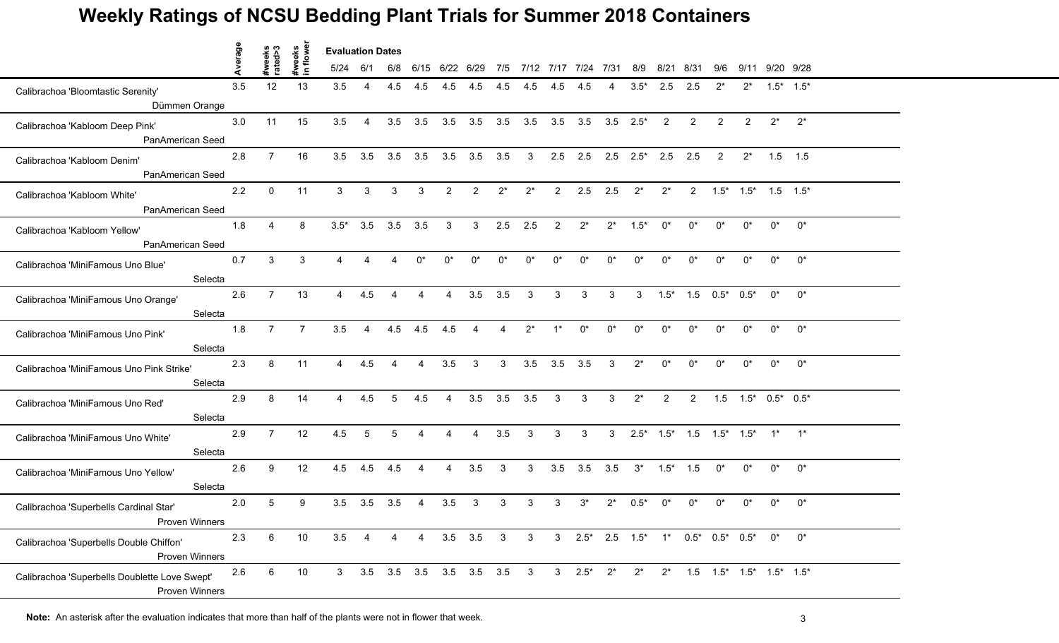|                                                                        | Average |                   | weeks          | <b>Evaluation Dates</b> |                |                        |                |                           |                |                        |                |                |                                                              |              |                     |                |                       |                |            |                                               |            |  |
|------------------------------------------------------------------------|---------|-------------------|----------------|-------------------------|----------------|------------------------|----------------|---------------------------|----------------|------------------------|----------------|----------------|--------------------------------------------------------------|--------------|---------------------|----------------|-----------------------|----------------|------------|-----------------------------------------------|------------|--|
|                                                                        |         | #weeks<br>rated>3 |                | 5/24                    | -6/1           | 6/8                    | 6/15           | 6/22 6/29                 |                | 7/5                    |                | 7/12 7/17 7/24 |                                                              | 7/31         | 8/9                 | 8/21           | 8/31                  | 9/6            | 9/11       | 9/20 9/28                                     |            |  |
| Calibrachoa 'Bloomtastic Serenity'<br>Dümmen Orange                    | 3.5     | 12                | 13             | 3.5                     | 4              | 4.5                    | 4.5            | 4.5                       | 4.5            | 4.5                    | 4.5            | 4.5            | 4.5                                                          |              | $3.5*$              | 2.5            | 2.5                   | $2^*$          | $2^*$      | $1.5^*$ $1.5^*$                               |            |  |
|                                                                        |         |                   |                |                         |                |                        |                |                           |                |                        |                |                |                                                              |              |                     |                |                       | $\overline{2}$ | 2          | $2^*$                                         | $2^*$      |  |
| Calibrachoa 'Kabloom Deep Pink'<br>PanAmerican Seed                    | 3.0     | 11                | 15             | 3.5                     | 4              | 3.5                    | 3.5            | 3.5                       | 3.5            | 3.5                    | 3.5            | 3.5            | 3.5                                                          |              | $3.5$ $2.5^*$       | 2              | 2                     |                |            |                                               |            |  |
| Calibrachoa 'Kabloom Denim'                                            | 2.8     | $\overline{7}$    | 16             | 3.5                     | 3.5            | 3.5                    | 3.5            | 3.5                       | 3.5            | 3.5                    | 3              | 2.5            | 2.5                                                          |              | $2.5$ $2.5^*$ $2.5$ |                | 2.5                   | 2              | $2^*$      | $1.5$ 1.5                                     |            |  |
| PanAmerican Seed                                                       |         |                   |                |                         |                |                        |                |                           |                |                        |                |                |                                                              |              |                     |                |                       |                |            |                                               |            |  |
| Calibrachoa 'Kabloom White'<br>PanAmerican Seed                        | 2.2     | $\mathbf{0}$      | 11             | 3                       | 3              | 3                      | 3              | $\overline{2}$            | 2              | $2^*$                  | $2^*$          | 2              | 2.5                                                          | 2.5          | $2^*$               | $2^*$          |                       |                |            | $2$ $1.5^*$ $1.5^*$ $1.5$ $1.5^*$             |            |  |
| Calibrachoa 'Kabloom Yellow'                                           | 1.8     | Δ                 | 8              | $3.5*$                  | 3.5            | 3.5                    | 3.5            | 3                         | 3              | 2.5                    | 2.5            | $\mathcal{P}$  | $2^*$                                                        | $2^*$        | $1.5*$              | n*             | በ*                    | $^{\circ}$     | $^{\circ}$ | ሰ*                                            | $0^*$      |  |
| PanAmerican Seed                                                       |         |                   |                |                         |                |                        |                |                           |                |                        |                |                |                                                              |              |                     |                |                       |                |            |                                               |            |  |
| Calibrachoa 'MiniFamous Uno Blue'<br>Selecta                           | 0.7     | $\mathbf{3}$      | 3              | $\overline{4}$          | $\Delta$       | $\boldsymbol{\Lambda}$ | $0^*$          | $0^*$                     | $0^*$          | $0^*$                  | $0^*$          | $0^*$          | $0^*$                                                        | $0^*$        | $0^*$               | $0^*$          | $0^*$                 | $0^*$          | $0^*$      | $0^*$                                         | $0^*$      |  |
| Calibrachoa 'MiniFamous Uno Orange'                                    | 2.6     | $\overline{7}$    | 13             | $\overline{4}$          | 4.5            | 4                      | 4              | 4                         | 3.5            | 3.5                    | $\mathbf{3}$   | 3              | 3                                                            | 3            | 3 <sup>3</sup>      | $1.5*$         | $1.5$ $0.5^*$ $0.5^*$ |                |            | $0^*$                                         | $0^*$      |  |
| Selecta                                                                |         |                   |                |                         |                |                        |                |                           |                |                        |                |                |                                                              |              |                     |                |                       |                |            |                                               |            |  |
| Calibrachoa 'MiniFamous Uno Pink'<br>Selecta                           | 1.8     | $\overline{7}$    | $\overline{7}$ | 3.5                     | $\overline{A}$ | 4.5                    | 4.5            | 4.5                       | Δ              | $\boldsymbol{\Lambda}$ | $2^*$          | $1^*$          | $0^*$                                                        | $0^*$        | $0^*$               | $0^*$          | $0^*$                 | $0^*$          | $0^*$      | $0^*$                                         | $0^{\ast}$ |  |
| Calibrachoa 'MiniFamous Uno Pink Strike'<br>Selecta                    | 2.3     | 8                 | 11             | 4                       | 4.5            | Δ                      |                | 3.5                       | 3              | 3                      | 3.5            | 3.5            | 3.5                                                          | 3            | $2^*$               | n*             | ሰ*                    | $^{\circ}$     | $^{\circ}$ | n*                                            | $0^*$      |  |
|                                                                        |         |                   |                |                         |                |                        |                |                           |                |                        |                |                |                                                              |              |                     |                |                       |                |            |                                               |            |  |
| Calibrachoa 'MiniFamous Uno Red'<br>Selecta                            | 2.9     | 8                 | 14             | $\overline{4}$          | 4.5            | 5                      | 4.5            | 4                         | 3.5            | 3.5                    | 3.5            | $\mathbf{3}$   | 3                                                            | 3            | $2^*$               | $\overline{2}$ | 2                     | 1.5            |            | $1.5^*$ 0.5* 0.5*                             |            |  |
| Calibrachoa 'MiniFamous Uno White'                                     | 2.9     | $\overline{7}$    | 12             | 4.5                     | 5              | 5                      |                | $\overline{A}$            | $\overline{4}$ | 3.5                    | $\mathbf{3}$   | 3              | 3                                                            | $\mathbf{3}$ | $2.5*$              |                |                       |                |            | $1.5^*$ $1.5$ $1.5^*$ $1.5^*$ $1^*$ $1^*$     |            |  |
| Selecta                                                                |         |                   |                |                         |                |                        |                |                           |                |                        |                |                |                                                              |              |                     |                |                       |                |            |                                               |            |  |
| Calibrachoa 'MiniFamous Uno Yellow'<br>Selecta                         | 2.6     | 9                 | 12             | 4.5                     | 4.5            | 4.5                    | 4              | 4                         | 3.5            | 3                      | 3              | 3.5            | 3.5                                                          | 3.5          | $3^*$               | $1.5*$         | 1.5                   | $0^*$          | $0^*$      | $0^*$                                         | $0^{\ast}$ |  |
| Calibrachoa 'Superbells Cardinal Star'<br>Proven Winners               | 2.0     | 5                 | 9              | 3.5                     | 3.5            | 3.5                    |                | 3.5                       | 3              | 3                      |                | 3              | $3^*$                                                        | $2^*$        | $0.5*$              |                |                       |                | n*         | በ*                                            | $0^*$      |  |
| Calibrachoa 'Superbells Double Chiffon'<br>Proven Winners              | 2.3     | 6                 | 10             | 3.5                     | 4              | 4                      | $\overline{4}$ |                           | $3.5\quad 3.5$ | $\mathbf{3}$           | 3 <sup>5</sup> |                | 3 $2.5^*$ 2.5 $1.5^*$ 1* $0.5^*$ 0.5* $0.5^*$ 0 <sup>*</sup> |              |                     |                |                       |                |            |                                               | $0^{\ast}$ |  |
| Calibrachoa 'Superbells Doublette Love Swept'<br><b>Proven Winners</b> | 2.6     | 6                 | 10             | 3                       |                |                        |                | 3.5 3.5 3.5 3.5 3.5 3.5 3 |                |                        |                |                | 3 $2.5^*$ $2^*$                                              |              | $2^*$               | $2^*$          |                       |                |            | $1.5$ $1.5^*$ $1.5^*$ $1.5^*$ $1.5^*$ $1.5^*$ |            |  |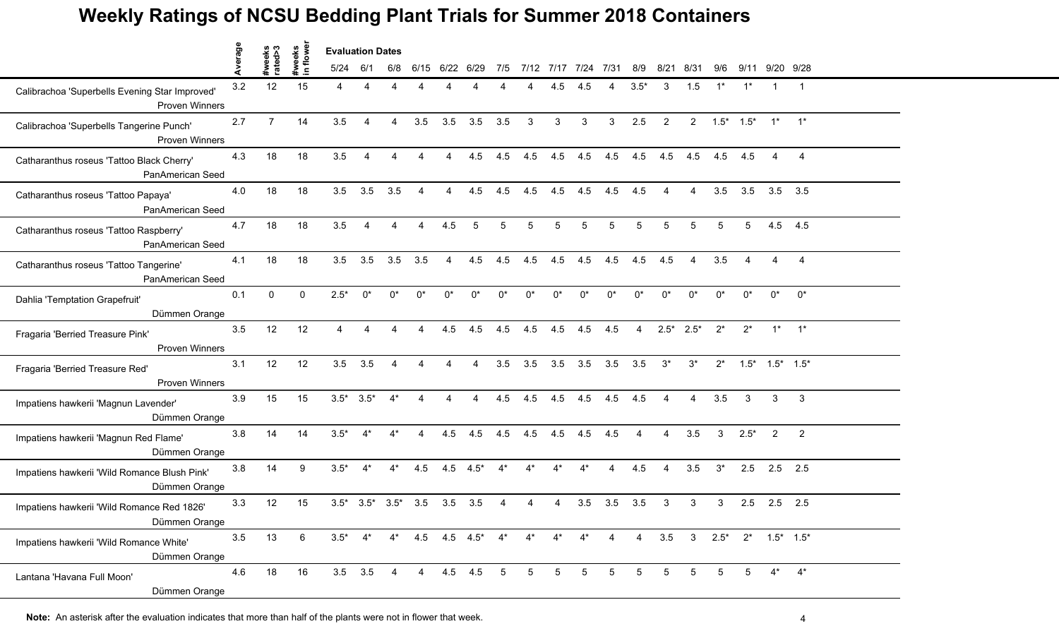|                                                                         | werage |                   | weeks<br>lowe | <b>Evaluation Dates</b> |             |                         |                                 |                        |                |       |                |                 |                 |                |                |                |                |                     |                |                           |                |  |
|-------------------------------------------------------------------------|--------|-------------------|---------------|-------------------------|-------------|-------------------------|---------------------------------|------------------------|----------------|-------|----------------|-----------------|-----------------|----------------|----------------|----------------|----------------|---------------------|----------------|---------------------------|----------------|--|
|                                                                         |        | #weeks<br>rated>3 |               | 5/24                    | 6/1         | 6/8                     | 6/15                            | 6/22                   | 6/29           | 7/5   | 7/12 7/17 7/24 |                 |                 | 7/31           | 8/9            | 8/21           | 8/31           | 9/6                 | 9/11           | 9/20 9/28                 |                |  |
| Calibrachoa 'Superbells Evening Star Improved'<br><b>Proven Winners</b> | 3.2    | 12                | 15            | 4                       | Δ           |                         |                                 |                        |                |       |                | 4.5             | 4.5             |                | $3.5*$         | 3              | 1.5            |                     |                | 1                         | $\overline{1}$ |  |
| Calibrachoa 'Superbells Tangerine Punch'<br><b>Proven Winners</b>       | 2.7    | $\overline{7}$    | 14            | 3.5                     | 4           | $\overline{4}$          | 3.5                             | 3.5                    | 3.5            | 3.5   | 3              | 3               | 3               | 3              | 2.5            | 2              |                | $2 \t1.5^* \t1.5^*$ |                | $1^*$ $1^*$               |                |  |
| Catharanthus roseus 'Tattoo Black Cherry'<br>PanAmerican Seed           | 4.3    | 18                | 18            | 3.5                     | 4           | 4                       | 4                               | 4                      | 4.5            | 4.5   | 4.5            | 4.5             | 4.5             | 4.5            | 4.5            | 4.5            | 4.5            | 4.5                 | 4.5            |                           | 4              |  |
| Catharanthus roseus 'Tattoo Papaya'<br>PanAmerican Seed                 | 4.0    | 18                | 18            | 3.5                     | 3.5         | 3.5                     | $\overline{4}$                  | $\overline{4}$         | 4.5            | 4.5   | 4.5            | 4.5             | 4.5             | 4.5            | 4.5            | 4              | 4              | 3.5                 | 3.5            | 3.5                       | 3.5            |  |
| Catharanthus roseus 'Tattoo Raspberry'<br>PanAmerican Seed              | 4.7    | 18                | 18            | 3.5                     |             |                         |                                 | 4.5                    |                | 5     |                | 5               |                 | 5              |                | 5              |                | 5                   |                | 4.5                       | 4.5            |  |
| Catharanthus roseus 'Tattoo Tangerine'<br>PanAmerican Seed              | 4.1    | 18                | 18            | 3.5                     | 3.5         | 3.5                     | 3.5                             | $\overline{4}$         | 4.5            | 4.5   | 4.5            | 4.5             | 4.5             | 4.5            | 4.5            | 4.5            | $\overline{4}$ | 3.5                 | $\overline{4}$ | 4                         | $\overline{4}$ |  |
| Dahlia 'Temptation Grapefruit'<br>Dümmen Orange                         | 0.1    | $\mathbf{0}$      | $\mathbf{0}$  | $2.5*$                  | $0^*$       | $0^*$                   | $0^*$                           | $0^*$                  | $0^*$          | $0^*$ | $^{\circ}$     | ሰ*              | $0^*$           | $0^*$          | $^{\circ}$     | $0^*$          | $0^*$          | $0^*$               | $0^*$          | 0*                        | $0^*$          |  |
| Fragaria 'Berried Treasure Pink'<br><b>Proven Winners</b>               | 3.5    | 12                | 12            | $\overline{4}$          | 4           | 4                       | $\overline{4}$                  | 4.5                    | 4.5            | 4.5   | 4.5            | 4.5             | 4.5             | 4.5            | $\overline{4}$ | $2.5^*$ 2.5*   |                | $2^*$               | $2^*$          |                           | $1^*$ $1^*$    |  |
| Fragaria 'Berried Treasure Red'<br><b>Proven Winners</b>                | 3.1    | 12                | 12            | 3.5                     | 3.5         |                         |                                 |                        |                | 3.5   | 3.5            | 3.5             | 3.5             | 3.5            | 3.5            | $3^*$          | $3^*$          | $2^*$               | $1.5*$         | $1.5^*$ $1.5^*$           |                |  |
| Impatiens hawkerii 'Magnun Lavender'<br>Dümmen Orange                   | 3.9    | 15                | 15            | $3.5^*$ $3.5^*$         |             | $4^*$                   | $\overline{4}$                  | $\boldsymbol{\Lambda}$ | $\overline{4}$ | 4.5   | 4.5            | 4.5             | 4.5             | 4.5            | 4.5            | $\overline{4}$ | $\overline{4}$ | 3.5                 | 3              | 3                         | 3              |  |
| Impatiens hawkerii 'Magnun Red Flame'<br>Dümmen Orange                  | 3.8    | 14                | 14            | $3.5*$                  | $4^*$       | $4^*$                   | $\overline{4}$                  | 4.5                    | 4.5            | 4.5   | 4.5            | 4.5             | 4.5             | 4.5            | $\overline{4}$ | $\overline{4}$ | 3.5            | 3                   | $2.5*$         | 2                         | $\overline{2}$ |  |
| Impatiens hawkerii 'Wild Romance Blush Pink'<br>Dümmen Orange           | 3.8    | 14                | 9             | $3.5*$                  | $4^*$       | $4^*$                   | 4.5                             | 4.5                    | $4.5*$         | $4^*$ | $4^*$          | $4^*$           | $4^*$           | 4              | 4.5            | $\overline{4}$ | 3.5            | $3^*$               | 2.5            | 2.5                       | 2.5            |  |
| Impatiens hawkerii 'Wild Romance Red 1826'<br>Dümmen Orange             | 3.3    | 12                | 15            |                         |             | $3.5^*$ $3.5^*$ $3.5^*$ | 3.5                             | 3.5                    | 3.5            |       |                |                 | 3.5             | 3.5            | 3.5            | 3              | 3              | 3                   | 2.5            | $2.5$ 2.5                 |                |  |
| Impatiens hawkerii 'Wild Romance White'<br>Dümmen Orange                | 3.5    | 13                | 6             | $3.5*$                  |             |                         | $4^*$ $4^*$ $4.5$ $4.5$ $4.5^*$ |                        |                | $4^*$ | $4^*$          | $4^*$           | $4^*$           | $\overline{4}$ |                |                |                |                     |                | 4 3.5 3 2.5* 2* 1.5* 1.5* |                |  |
| Lantana 'Havana Full Moon'<br>Dümmen Orange                             | 4.6    | 18                | 16            |                         | $3.5$ $3.5$ | $\overline{4}$          |                                 | 4  4.5  4.5  5         |                |       | $5^{\circ}$    | $5\overline{)}$ | $5\overline{)}$ | 5              | 5              | 5              | 5              | -5                  |                | $4^*$                     | $4^*$          |  |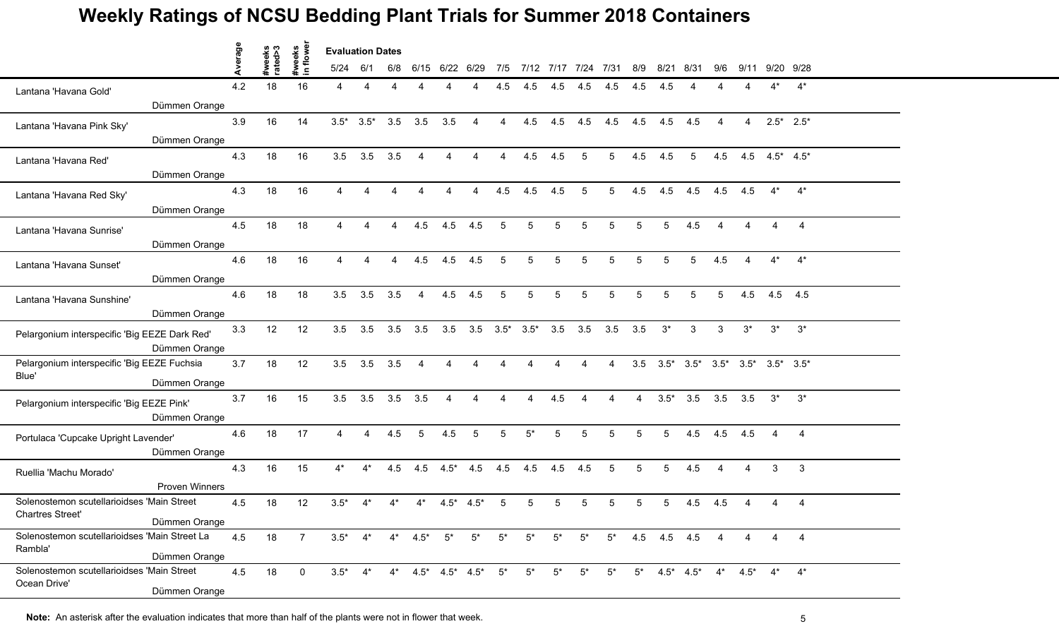|                                                                | verage |                   |                     | <b>Evaluation Dates</b> |        |     |                               |                |                        |       |                             |       |                     |       |     |                   |      |                                                       |                        |                  |                |  |
|----------------------------------------------------------------|--------|-------------------|---------------------|-------------------------|--------|-----|-------------------------------|----------------|------------------------|-------|-----------------------------|-------|---------------------|-------|-----|-------------------|------|-------------------------------------------------------|------------------------|------------------|----------------|--|
|                                                                |        | #weeks<br>rated>3 | #weeks<br>in flower | 5/24                    | 6/1    | 6/8 |                               | 6/15 6/22 6/29 |                        | 7/5   |                             |       | 7/12 7/17 7/24 7/31 |       | 8/9 | 8/21              | 8/31 | 9/6                                                   | 9/11                   | 9/20 9/28        |                |  |
| Lantana 'Havana Gold'                                          | 4.2    | 18                | 16                  |                         | Δ      |     |                               |                |                        | 4.5   | 4.5                         | 4.5   |                     | 4.5   | 4.5 | 4.5               |      |                                                       |                        |                  | $4^*$          |  |
| Dümmen Orange                                                  |        |                   |                     |                         |        |     |                               |                |                        |       |                             |       |                     |       |     |                   |      |                                                       |                        |                  |                |  |
| Lantana 'Havana Pink Sky'                                      | 3.9    | 16                | 14                  | $3.5*$                  | $3.5*$ | 3.5 | 3.5                           | 3.5            | $\overline{4}$         | 4     | 4.5                         | 4.5   | 4.5                 | 4.5   | 4.5 | 4.5               | 4.5  | 4                                                     | 4                      | $2.5^*$ 2.5*     |                |  |
| Dümmen Orange                                                  |        |                   |                     |                         |        |     |                               |                |                        |       |                             |       |                     |       |     |                   |      |                                                       |                        |                  |                |  |
| Lantana 'Havana Red'                                           | 4.3    | 18                | 16                  | 3.5                     | 3.5    | 3.5 | $\boldsymbol{\Lambda}$        |                | 4                      | 4     | 4.5                         | 4.5   | 5                   | 5     | 4.5 | 4.5               | 5    | 4.5                                                   |                        | 4.5 $4.5^*$ 4.5* |                |  |
| Dümmen Orange                                                  |        |                   |                     |                         |        |     |                               |                |                        |       |                             |       |                     |       |     |                   |      |                                                       |                        |                  |                |  |
| Lantana 'Havana Red Sky'                                       | 4.3    | 18                | 16                  |                         |        |     | $\boldsymbol{\varLambda}$     |                | 4                      | 4.5   | 4.5                         | 4.5   | 5                   | 5     | 4.5 | 4.5               | 4.5  | 4.5                                                   | 4.5                    | $4^*$            | $4^*$          |  |
| Dümmen Orange                                                  |        |                   |                     |                         |        |     |                               |                |                        |       |                             |       |                     |       |     |                   |      |                                                       |                        |                  |                |  |
| Lantana 'Havana Sunrise'                                       | 4.5    | 18                | 18                  |                         |        |     | 4.5                           | 4.5            | 4.5                    | 5     | 5                           |       | 5                   |       | 5   |                   | 4.5  |                                                       |                        |                  | $\overline{4}$ |  |
| Dümmen Orange                                                  |        |                   |                     |                         |        |     |                               |                |                        |       |                             |       |                     |       |     |                   |      |                                                       |                        |                  |                |  |
| Lantana 'Havana Sunset'                                        | 4.6    | 18                | 16                  | $\overline{4}$          |        | 4   | 4.5                           | 4.5            | 4.5                    | 5     | 5                           | 5     | 5                   | 5     | 5   | 5                 | 5    | 4.5                                                   | $\boldsymbol{\Lambda}$ | $4^*$            | $4^*$          |  |
| Dümmen Orange                                                  |        |                   |                     |                         |        |     |                               |                |                        |       |                             |       |                     |       |     |                   |      |                                                       |                        |                  |                |  |
| Lantana 'Havana Sunshine'                                      | 4.6    | 18                | 18                  | 3.5                     | 3.5    | 3.5 | $\overline{4}$                | 4.5            | 4.5                    | 5     | 5                           | 5     | 5                   | 5     | 5   | 5                 | 5    | 5                                                     | 4.5                    | 4.5 4.5          |                |  |
| Dümmen Orange                                                  |        |                   |                     |                         |        |     |                               |                |                        |       |                             |       |                     |       |     |                   |      |                                                       |                        |                  |                |  |
| Pelargonium interspecific 'Big EEZE Dark Red'<br>Dümmen Orange | 3.3    | 12                | 12                  | 3.5                     | 3.5    | 3.5 | 3.5                           | 3.5            |                        |       | $3.5$ $3.5^*$ $3.5^*$ $3.5$ |       | 3.5                 | 3.5   | 3.5 | $3^*$             | 3    | 3                                                     | $3^*$                  | $3^*$            | $3^*$          |  |
| Pelargonium interspecific 'Big EEZE Fuchsia                    | 3.7    | 18                | 12                  | 3.5                     | 3.5    | 3.5 |                               |                |                        |       |                             |       |                     |       |     |                   |      | $3.5$ $3.5^*$ $3.5^*$ $3.5^*$ $3.5^*$ $3.5^*$ $3.5^*$ |                        |                  |                |  |
| Blue'<br>Dümmen Orange                                         |        |                   |                     |                         |        |     |                               |                |                        |       |                             |       |                     |       |     |                   |      |                                                       |                        |                  |                |  |
| Pelargonium interspecific 'Big EEZE Pink'                      | 3.7    | 16                | 15                  | 3.5                     | 3.5    | 3.5 | 3.5                           | 4              | $\boldsymbol{\Lambda}$ | 4     | $\boldsymbol{\Lambda}$      | 4.5   | 4                   | 4     | 4   | $3.5*$            | 3.5  | 3.5                                                   | 3.5                    | $3^*$            | $3^*$          |  |
| Dümmen Orange                                                  |        |                   |                     |                         |        |     |                               |                |                        |       |                             |       |                     |       |     |                   |      |                                                       |                        |                  |                |  |
| Portulaca 'Cupcake Upright Lavender'<br>Dümmen Orange          | 4.6    | 18                | 17                  | $\overline{4}$          | 4      | 4.5 | -5                            | 4.5            | 5                      | 5     | $5^*$                       | 5     | 5                   | 5     | 5   | $5^{\circ}$       | 4.5  | 4.5                                                   | 4.5                    | $\overline{A}$   | $\overline{4}$ |  |
|                                                                | 4.3    | 16                | 15                  | $4^*$                   | $4^*$  | 4.5 | 4.5                           | $4.5*$         | 4.5                    | 4.5   | 4.5                         | 4.5   | 4.5                 | 5     | 5   | 5                 | 4.5  |                                                       | Δ                      | 3                | $\mathbf{3}$   |  |
| Ruellia 'Machu Morado'<br>Proven Winners                       |        |                   |                     |                         |        |     |                               |                |                        |       |                             |       |                     |       |     |                   |      |                                                       |                        |                  |                |  |
| Solenostemon scutellarioidses 'Main Street                     | 4.5    | 18                | 12                  | $3.5*$                  |        |     | 4*                            | $4.5*$         | $4.5*$                 |       |                             |       | 5                   |       | 5   |                   | 4.5  | 4.5                                                   |                        |                  | $\overline{4}$ |  |
| Chartres Street'<br>Dümmen Orange                              |        |                   |                     |                         |        |     |                               |                |                        |       |                             |       |                     |       |     |                   |      |                                                       |                        |                  |                |  |
| Solenostemon scutellarioidses 'Main Street La                  | 4.5    | 18                | $\overline{7}$      | $3.5^*$ 4*              |        |     | $4^*$ $4.5^*$ $5^*$           |                | $5^*$                  | $5^*$ | $5^*$                       | $5^*$ | $5^*$               |       |     | $5^*$ 4.5 4.5 4.5 |      | $\overline{4}$                                        | 4                      |                  | $\overline{4}$ |  |
| Rambla'<br>Dümmen Orange                                       |        |                   |                     |                         |        |     |                               |                |                        |       |                             |       |                     |       |     |                   |      |                                                       |                        |                  |                |  |
| Solenostemon scutellarioidses 'Main Street                     | 4.5    | 18                | $\overline{0}$      | $3.5*$                  | $4^*$  |     | $4^*$ $4.5^*$ $4.5^*$ $4.5^*$ |                |                        | $5^*$ | $5^*$                       | $5^*$ | $5^*$               | $5^*$ |     | $5^*$ 4.5* 4.5*   |      |                                                       | $4^*$ $4.5^*$          |                  | $4^*$ $4^*$    |  |
| Ocean Drive'<br>Dümmen Orange                                  |        |                   |                     |                         |        |     |                               |                |                        |       |                             |       |                     |       |     |                   |      |                                                       |                        |                  |                |  |